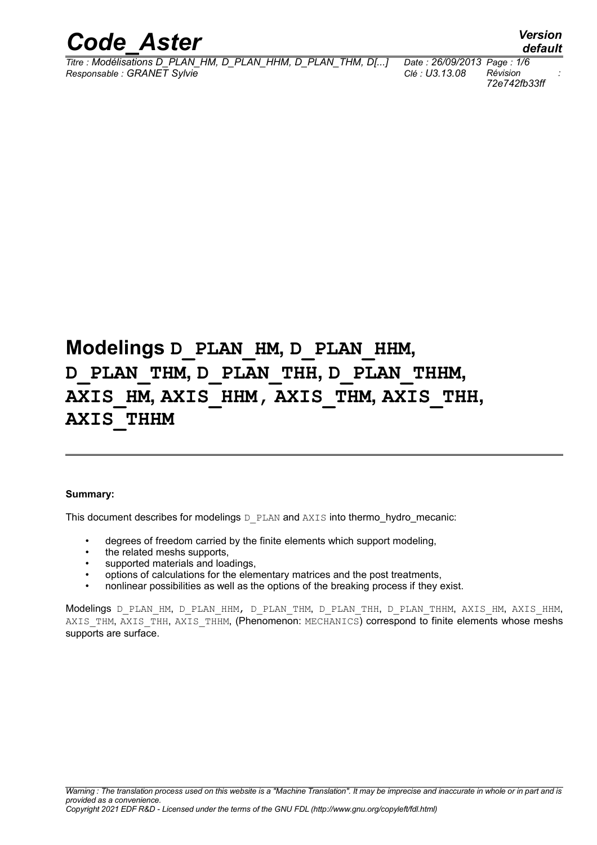

*Titre : Modélisations D\_PLAN\_HM, D\_PLAN\_HHM, D\_PLAN\_THM, D[...] Date : 26/09/2013 Page : 1/6 Responsable : GRANET Sylvie Clé : U3.13.08 Révision :*

*72e742fb33ff*

## **Modelings D\_PLAN\_HM, D\_PLAN\_HHM, D\_PLAN\_THM, D\_PLAN\_THH, D\_PLAN\_THHM, AXIS\_HM, AXIS\_HHM, AXIS\_THM, AXIS\_THH, AXIS\_THHM**

#### **Summary:**

This document describes for modelings  $D$  PLAN and AXIS into thermo hydro mecanic:

- degrees of freedom carried by the finite elements which support modeling,
- the related meshs supports.
- supported materials and loadings,
- options of calculations for the elementary matrices and the post treatments,
- nonlinear possibilities as well as the options of the breaking process if they exist.

Modelings D\_PLAN\_HM, D\_PLAN\_HHM, D\_PLAN\_THM, D\_PLAN\_THH, D\_PLAN\_THHM, AXIS\_HM, AXIS\_HHM, AXIS THM, AXIS THH, AXIS THHM, (Phenomenon: MECHANICS) correspond to finite elements whose meshs supports are surface.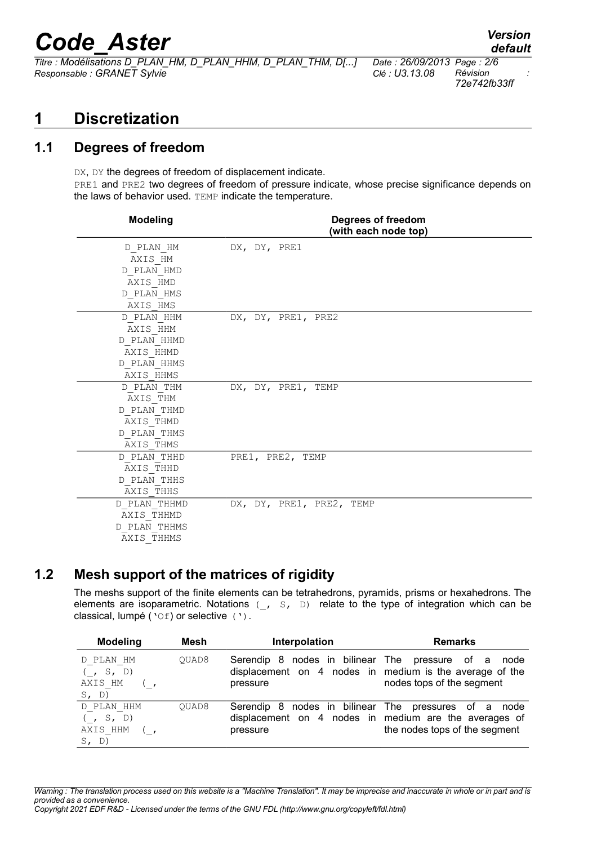$\overline{T}$ itre : *Modélisations D\_PLAN\_HM, D\_PLAN\_HHM, D\_PLAN\_THM, D[...] Responsable : GRANET Sylvie Clé : U3.13.08 Révision :*

*default*

*72e742fb33ff*

## **1 Discretization**

### **1.1 Degrees of freedom**

DX, DY the degrees of freedom of displacement indicate. PRE1 and PRE2 two degrees of freedom of pressure indicate, whose precise significance depends on the laws of behavior used. TEMP indicate the temperature.

| <b>Modeling</b> | Degrees of freedom<br>(with each node top) |
|-----------------|--------------------------------------------|
| D PLAN HM       | DX, DY, PRE1                               |
| AXIS HM         |                                            |
| D PLAN HMD      |                                            |
| AXIS HMD        |                                            |
| D PLAN HMS      |                                            |
| AXIS HMS        |                                            |
| D PLAN HHM      | DX, DY, PRE1, PRE2                         |
| AXIS HHM        |                                            |
| D PLAN HHMD     |                                            |
| AXIS HHMD       |                                            |
| D PLAN HHMS     |                                            |
| AXIS HHMS       |                                            |
| D PLAN THM      | DX, DY, PRE1, TEMP                         |
| AXIS THM        |                                            |
| D PLAN THMD     |                                            |
| AXIS THMD       |                                            |
| D PLAN THMS     |                                            |
| AXIS THMS       |                                            |
| D PLAN THHD     | PRE1, PRE2, TEMP                           |
| AXIS THHD       |                                            |
| D PLAN THHS     |                                            |
| AXIS THHS       |                                            |
| D PLAN THHMD    | DX, DY, PRE1, PRE2, TEMP                   |
| AXIS THHMD      |                                            |
| D PLAN THHMS    |                                            |
| AXIS_THHMS      |                                            |

#### **1.2 Mesh support of the matrices of rigidity**

The meshs support of the finite elements can be tetrahedrons, pyramids, prisms or hexahedrons. The elements are isoparametric. Notations  $($ ,  $S, D)$  relate to the type of integration which can be classical, lumpé ('Of) or selective (').

| <b>Modeling</b>                                   | Mesh  | Interpolation                                                                         | <b>Remarks</b>                                                                |
|---------------------------------------------------|-------|---------------------------------------------------------------------------------------|-------------------------------------------------------------------------------|
| D PLAN HM<br>$($ , S, D)<br>AXIS HM<br>$S$ , $D)$ | OUAD8 | Serendip<br>-8<br>displacement on 4 nodes in medium is the average of the<br>pressure | nodes in bilinear The pressure of a<br>node<br>nodes tops of the segment      |
| D PLAN HHM<br>(S, S, D)<br>AXIS HHM<br>$S$ , D)   | OUAD8 | -8<br>Serendip<br>displacement on 4 nodes in medium are the averages of<br>pressure   | nodes in bilinear The pressures of a<br>node<br>the nodes tops of the segment |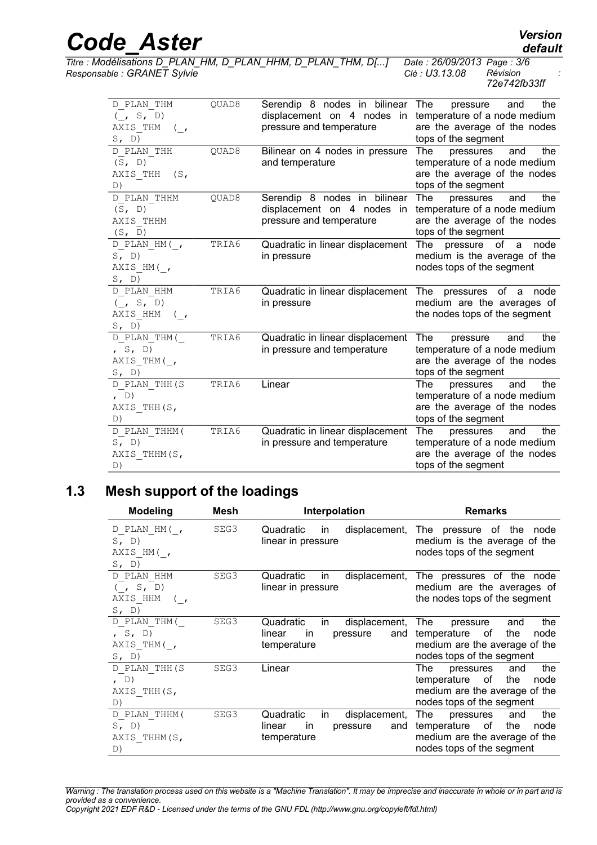| <b>Code Aster</b>                                                            |       |                                                                                        | <b>Version</b><br>default                                                                                                    |
|------------------------------------------------------------------------------|-------|----------------------------------------------------------------------------------------|------------------------------------------------------------------------------------------------------------------------------|
| Responsable : GRANET Sylvie                                                  |       | Titre : Modélisations D_PLAN_HM, D_PLAN_HHM, D_PLAN_THM, D[]                           | Date: 26/09/2013 Page: 3/6<br>Révision<br>Clé : U3.13.08<br>72e742fb33ff                                                     |
| D PLAN THM<br>$($ , S, D)<br>AXIS THM<br>$\left( \quad ,\right)$<br>S, D)    | OUAD8 | Serendip 8 nodes in bilinear<br>displacement on 4 nodes in<br>pressure and temperature | the<br>The<br>and<br>pressure<br>temperature of a node medium<br>are the average of the nodes<br>tops of the segment         |
| D PLAN THH<br>(S, D)<br>AXIS THH<br>(S,<br>D)                                | OUAD8 | Bilinear on 4 nodes in pressure<br>and temperature                                     | <b>The</b><br>the<br>pressures<br>and<br>temperature of a node medium<br>are the average of the nodes<br>tops of the segment |
| D PLAN THHM<br>(S, D)<br>AXIS THHM<br>(S, D)                                 | QUAD8 | Serendip 8 nodes in bilinear<br>displacement on 4 nodes in<br>pressure and temperature | the<br>The<br>pressures<br>and<br>temperature of a node medium<br>are the average of the nodes<br>tops of the segment        |
| D PLAN HM(,<br>S, D)<br>AXIS HM(,<br>S, D)                                   | TRIA6 | Quadratic in linear displacement<br>in pressure                                        | The<br>pressure<br>of<br>node<br>a<br>medium is the average of the<br>nodes tops of the segment                              |
| D PLAN HHM<br>$($ , S, D)<br>AXIS HHM<br>$\langle \cdot \rangle$<br>$S$ , D) | TRIA6 | Quadratic in linear displacement The pressures<br>in pressure                          | of a<br>node<br>medium are the averages of<br>the nodes tops of the segment                                                  |

TRIA6 Quadratic in linear displacement in pressure and temperature

TRIA6 Quadratic in linear displacement in pressure and temperature

The pressure and the temperature of a node medium are the average of the nodes

temperature of a node medium are the average of the nodes

The pressures and the temperature of a node medium are the average of the nodes

tops of the segment

tops of the segment

tops of the segment

TRIA6 Linear The pressures and the

#### **1.3 Mesh support of the loadings**

D\_PLAN\_THM(\_  $,$  S, D) AXIS THM( ,

D\_PLAN\_THH(S

AXIS THH(S,

D\_PLAN\_THHM(

AXIS THHM(S,

S, D)

, D)

S, D)

D)

D)

| <b>Modeling</b>                                                              | Mesh | Interpolation                                                                        | <b>Remarks</b>                                                                                                                   |
|------------------------------------------------------------------------------|------|--------------------------------------------------------------------------------------|----------------------------------------------------------------------------------------------------------------------------------|
| D PLAN HM(,<br>S, D)<br>AXIS HM(,<br>S, D)                                   | SEG3 | Quadratic<br>in<br>linear in pressure                                                | displacement, The pressure of the node<br>medium is the average of the<br>nodes tops of the segment                              |
| D PLAN HHM<br>$($ , S, D)<br>AXIS HHM<br>$\left( \quad ,\right)$<br>$S$ , D) | SEG3 | Quadratic<br>displacement,<br>in<br>linear in pressure                               | The pressures of the node<br>medium are the averages of<br>the nodes tops of the segment                                         |
| D PLAN THM(<br>, S, D)<br>AXIS THM(,<br>$S$ , D)                             | SEG3 | Quadratic<br>displacement,<br>in.<br>linear<br>and<br>in.<br>pressure<br>temperature | The<br>the<br>and<br>pressure<br>of<br>the<br>temperature<br>node<br>medium are the average of the<br>nodes tops of the segment  |
| D PLAN THH (S<br>(D)<br>AXIS THH (S,<br>D)                                   | SEG3 | Linear                                                                               | the<br>The<br>pressures<br>and<br>temperature<br>of<br>the<br>node<br>medium are the average of the<br>nodes tops of the segment |
| D PLAN THHM (<br>$S$ , D)<br>AXIS THHM (S,<br>D)                             | SEG3 | Quadratic<br>in<br>displacement,<br>linear<br>pressure<br>and<br>in<br>temperature   | The<br>the<br>pressures<br>and<br>of<br>the<br>temperature<br>node<br>medium are the average of the<br>nodes tops of the segment |

*Warning : The translation process used on this website is a "Machine Translation". It may be imprecise and inaccurate in whole or in part and is provided as a convenience.*

*Copyright 2021 EDF R&D - Licensed under the terms of the GNU FDL (http://www.gnu.org/copyleft/fdl.html)*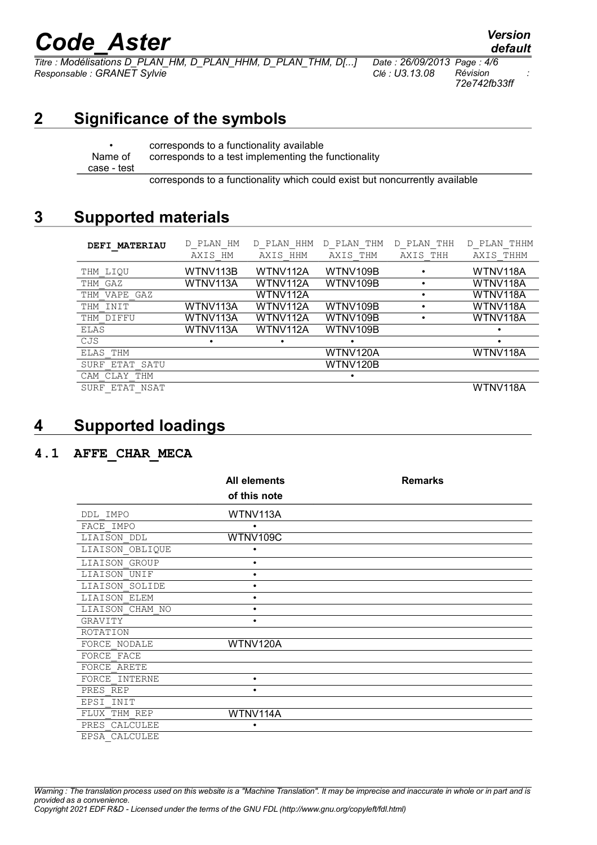*Titre : Modélisations D\_PLAN\_HM, D\_PLAN\_HHM, D\_PLAN\_THM, D[...] Date : 26/09/2013 Page : 4/6 Responsable : GRANET Sylvie Clé : U3.13.08 Révision :*

*default*

*72e742fb33ff*

## **2 Significance of the symbols**

Name of case - test

• corresponds to a functionality available corresponds to a test implementing the functionality

corresponds to a functionality which could exist but noncurrently available

## **3 Supported materials**

| <b>DEFI MATERIAU</b> | PLAN HM<br>D<br>AXIS<br>HМ | HHM<br>PLAN<br>D.<br>HHM<br>AXIS | THM<br>PLAN<br>D.<br>AXIS<br>THM | THH<br>D<br>PLAN<br>AXIS THH | THHM<br>PLAN<br>D.<br>AXIS THHM |
|----------------------|----------------------------|----------------------------------|----------------------------------|------------------------------|---------------------------------|
| THM LIOU             | WTNV113B                   | WTNV112A                         | WTNV109B                         |                              | WTNV118A                        |
| THM GAZ              | WTNV113A                   | WTNV112A                         | WTNV109B                         |                              | WTNV118A                        |
| THM VAPE GAZ         |                            | WTNV112A                         |                                  |                              | WTNV118A                        |
| THM INIT             | WTNV113A                   | WTNV112A                         | WTNV109B                         |                              | WTNV118A                        |
| THM DIFFU            | WTNV113A                   | WTNV112A                         | WTNV109B                         |                              | WTNV118A                        |
| ELAS                 | WTNV113A                   | WTNV112A                         | WTNV109B                         |                              |                                 |
| CJS                  | ٠                          |                                  |                                  |                              |                                 |
| ELAS THM             |                            |                                  | WTNV120A                         |                              | WTNV118A                        |
| SURF ETAT SATU       |                            |                                  | WTNV120B                         |                              |                                 |
| CAM CLAY THM         |                            |                                  |                                  |                              |                                 |
| NSAT<br>SURF<br>ETAT |                            |                                  |                                  |                              | WTNV118A                        |

## **4 Supported loadings**

#### **4.1 AFFE\_CHAR\_MECA**

|                 | <b>All elements</b> | <b>Remarks</b> |
|-----------------|---------------------|----------------|
|                 | of this note        |                |
| DDL IMPO        | WTNV113A            |                |
| FACE IMPO       | ٠                   |                |
| LIAISON DDL     | WTNV109C            |                |
| LIAISON OBLIQUE |                     |                |
| LIAISON GROUP   | ٠                   |                |
| LIAISON UNIF    | ٠                   |                |
| LIAISON SOLIDE  | ٠                   |                |
| LIAISON ELEM    | ٠                   |                |
| LIAISON CHAM NO | ٠                   |                |
| GRAVITY         | ٠                   |                |
| ROTATION        |                     |                |
| FORCE NODALE    | WTNV120A            |                |
| FORCE FACE      |                     |                |
| FORCE ARETE     |                     |                |
| FORCE INTERNE   | ٠                   |                |
| PRES REP        | ٠                   |                |
| EPSI INIT       |                     |                |
| FLUX THM REP    | WTNV114A            |                |
| PRES CALCULEE   | ٠                   |                |
| EPSA CALCULEE   |                     |                |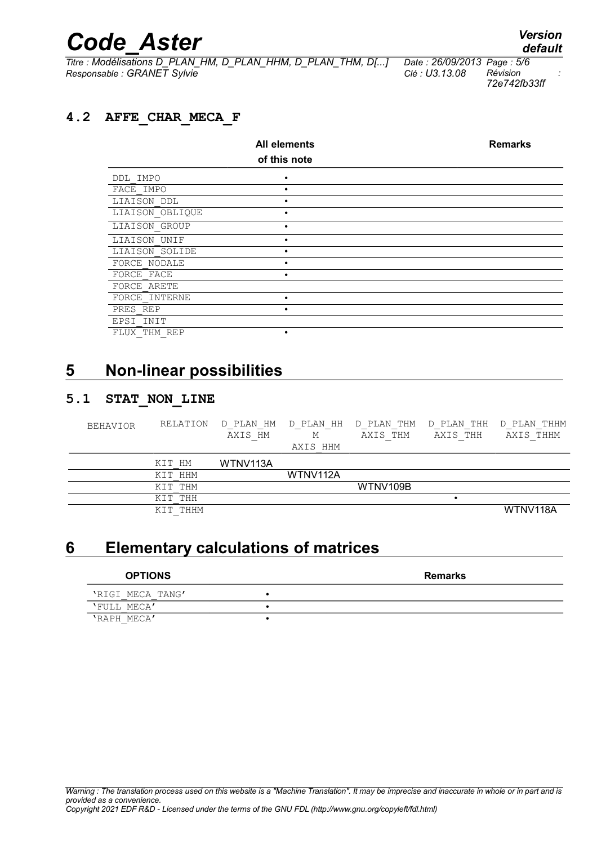*Titre : Modélisations D\_PLAN\_HM, D\_PLAN\_HHM, D\_PLAN\_THM, D[...] Date : 26/09/2013 Page : 5/6 Responsable : GRANET Sylvie Clé : U3.13.08 Révision :*

*default*

*72e742fb33ff*

#### **4.2 AFFE\_CHAR\_MECA\_F**

|                 | <b>All elements</b> | <b>Remarks</b> |
|-----------------|---------------------|----------------|
|                 | of this note        |                |
| DDL IMPO        | $\bullet$           |                |
| FACE IMPO       |                     |                |
| LIAISON DDL     |                     |                |
| LIAISON OBLIQUE |                     |                |
| LIAISON GROUP   | $\bullet$           |                |
| LIAISON UNIF    |                     |                |
| LIAISON SOLIDE  |                     |                |
| FORCE NODALE    |                     |                |
| FORCE FACE      | $\bullet$           |                |
| FORCE ARETE     |                     |                |
| FORCE INTERNE   |                     |                |
| PRES REP        |                     |                |
| EPSI INIT       |                     |                |
| FLUX THM REP    |                     |                |

### **5 Non-linear possibilities**

#### **5.1 STAT\_NON\_LINE**

| <b>BEHAVIOR</b> | RELATION | PLAN HM<br>D<br>AXIS HM | D PLAN HH<br>М<br>AXIS HHM | D PLAN THM<br>AXIS THM | D PLAN THH<br>AXIS THH | D PLAN THHM<br>AXIS THHM |
|-----------------|----------|-------------------------|----------------------------|------------------------|------------------------|--------------------------|
|                 | KIT HM   | WTNV113A                |                            |                        |                        |                          |
|                 | KIT HHM  |                         | WTNV112A                   |                        |                        |                          |
|                 | KIT THM  |                         |                            | WTNV109B               |                        |                          |
|                 | KIT THH  |                         |                            |                        |                        |                          |
|                 | KIT THHM |                         |                            |                        |                        | WTNV118A                 |

## **6 Elementary calculations of matrices**

| <b>OPTIONS</b>   | <b>Remarks</b> |
|------------------|----------------|
| 'RIGI MECA TANG' |                |
| 'FULL MECA'      |                |
| 'RAPH MECA'      |                |